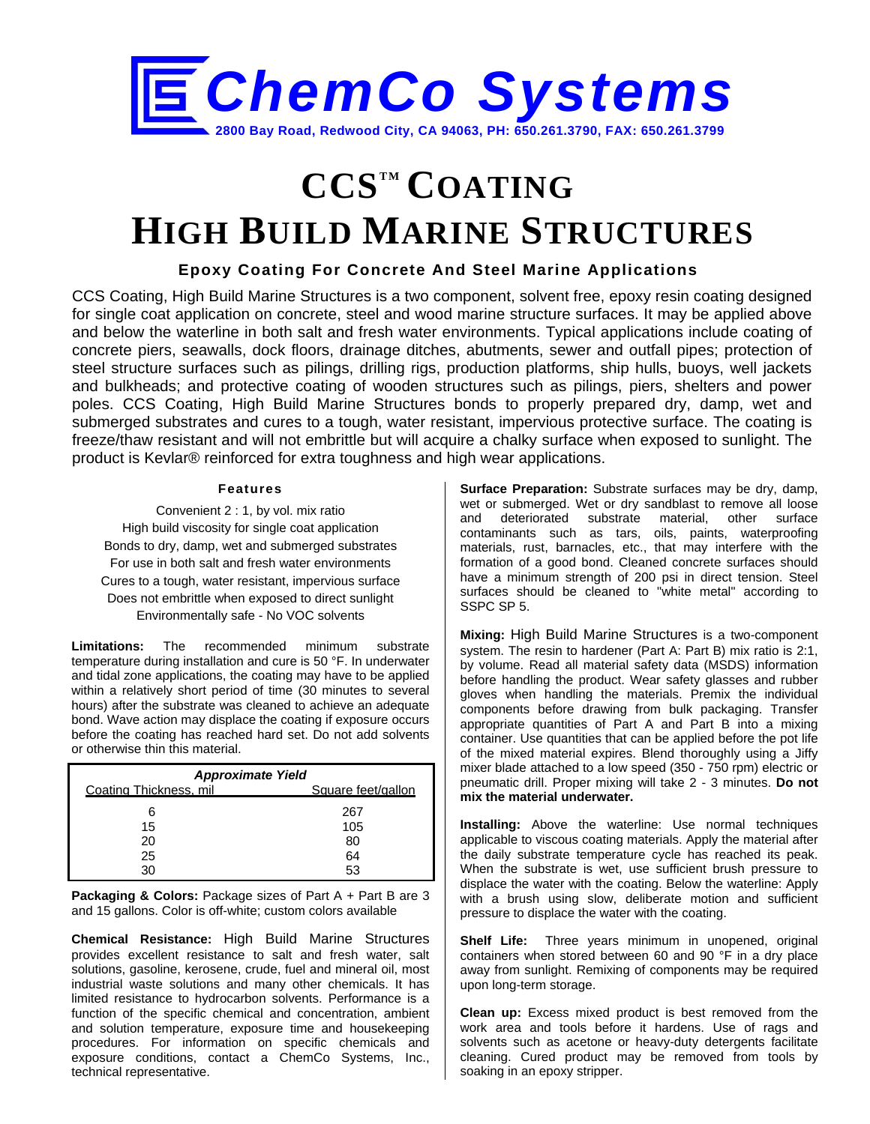

# **CCSTM COATING HIGH BUILD MARINE STRUCTURES**

## **Epoxy Coating For Concrete And Steel Marine Applications**

CCS Coating, High Build Marine Structures is a two component, solvent free, epoxy resin coating designed for single coat application on concrete, steel and wood marine structure surfaces. It may be applied above and below the waterline in both salt and fresh water environments. Typical applications include coating of concrete piers, seawalls, dock floors, drainage ditches, abutments, sewer and outfall pipes; protection of steel structure surfaces such as pilings, drilling rigs, production platforms, ship hulls, buoys, well jackets and bulkheads; and protective coating of wooden structures such as pilings, piers, shelters and power poles. CCS Coating, High Build Marine Structures bonds to properly prepared dry, damp, wet and submerged substrates and cures to a tough, water resistant, impervious protective surface. The coating is freeze/thaw resistant and will not embrittle but will acquire a chalky surface when exposed to sunlight. The product is Kevlar® reinforced for extra toughness and high wear applications.

#### **Features**

Convenient 2 : 1, by vol. mix ratio High build viscosity for single coat application Bonds to dry, damp, wet and submerged substrates For use in both salt and fresh water environments Cures to a tough, water resistant, impervious surface Does not embrittle when exposed to direct sunlight Environmentally safe - No VOC solvents

**Limitations:** The recommended minimum substrate temperature during installation and cure is 50 °F. In underwater and tidal zone applications, the coating may have to be applied within a relatively short period of time (30 minutes to several hours) after the substrate was cleaned to achieve an adequate bond. Wave action may displace the coating if exposure occurs before the coating has reached hard set. Do not add solvents or otherwise thin this material.

| <b>Approximate Yield</b> |                    |  |  |
|--------------------------|--------------------|--|--|
| Coating Thickness, mil.  | Square feet/gallon |  |  |
| 6                        | 267                |  |  |
| 15                       | 105                |  |  |
| 20                       | 80                 |  |  |
| 25                       | 64                 |  |  |
| ۹Λ                       | 53                 |  |  |

**Packaging & Colors:** Package sizes of Part A + Part B are 3 and 15 gallons. Color is off-white; custom colors available

**Chemical Resistance:** High Build Marine Structures provides excellent resistance to salt and fresh water, salt solutions, gasoline, kerosene, crude, fuel and mineral oil, most industrial waste solutions and many other chemicals. It has limited resistance to hydrocarbon solvents. Performance is a function of the specific chemical and concentration, ambient and solution temperature, exposure time and housekeeping procedures. For information on specific chemicals and exposure conditions, contact a ChemCo Systems, Inc., technical representative.

**Surface Preparation:** Substrate surfaces may be dry, damp, wet or submerged. Wet or dry sandblast to remove all loose<br>and deteriorated substrate material. other surface and deteriorated substrate material, other surface contaminants such as tars, oils, paints, waterproofing materials, rust, barnacles, etc., that may interfere with the formation of a good bond. Cleaned concrete surfaces should have a minimum strength of 200 psi in direct tension. Steel surfaces should be cleaned to "white metal" according to SSPC SP 5.

**Mixing:** High Build Marine Structures is a two-component system. The resin to hardener (Part A: Part B) mix ratio is 2:1, by volume. Read all material safety data (MSDS) information before handling the product. Wear safety glasses and rubber gloves when handling the materials. Premix the individual components before drawing from bulk packaging. Transfer appropriate quantities of Part A and Part B into a mixing container. Use quantities that can be applied before the pot life of the mixed material expires. Blend thoroughly using a Jiffy mixer blade attached to a low speed (350 - 750 rpm) electric or pneumatic drill. Proper mixing will take 2 - 3 minutes. **Do not mix the material underwater.**

**Installing:** Above the waterline: Use normal techniques applicable to viscous coating materials. Apply the material after the daily substrate temperature cycle has reached its peak. When the substrate is wet, use sufficient brush pressure to displace the water with the coating. Below the waterline: Apply with a brush using slow, deliberate motion and sufficient pressure to displace the water with the coating.

**Shelf Life:** Three years minimum in unopened, original containers when stored between 60 and 90 °F in a dry place away from sunlight. Remixing of components may be required upon long-term storage.

**Clean up:** Excess mixed product is best removed from the work area and tools before it hardens. Use of rags and solvents such as acetone or heavy-duty detergents facilitate cleaning. Cured product may be removed from tools by soaking in an epoxy stripper.